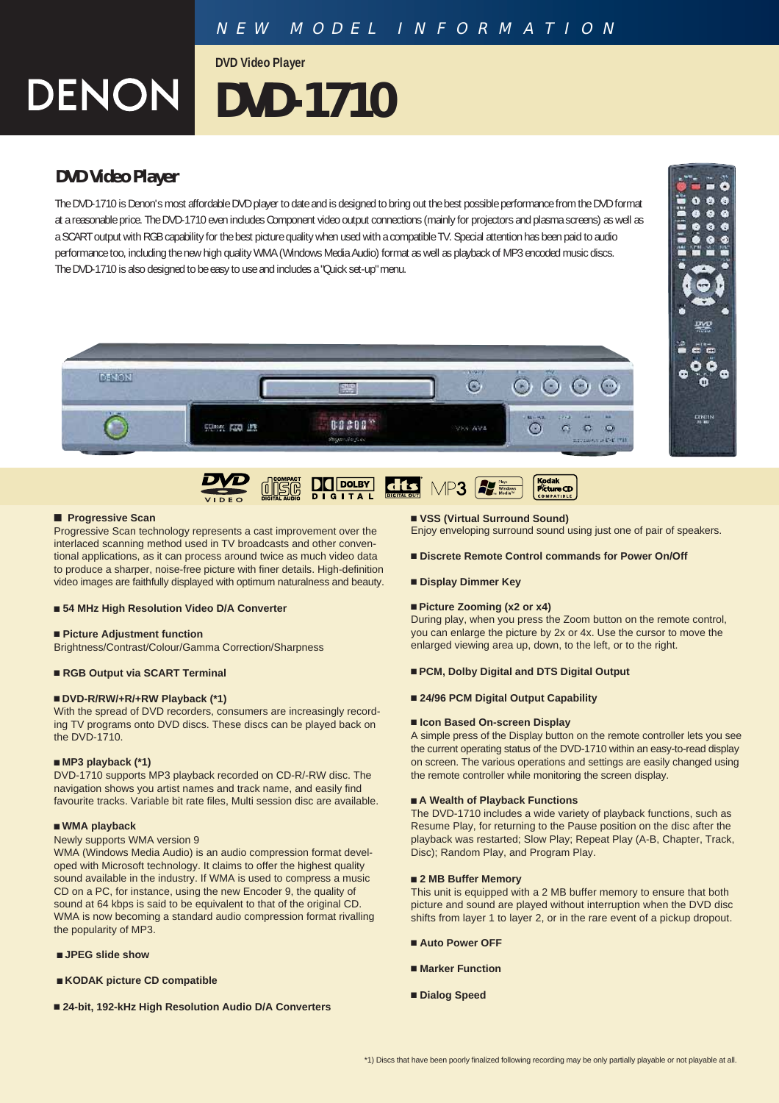**DVD Video Player**

# **DVD-1710**

# **DVD Video Player**

**DENON** 

The DVD-1710 is Denon's most affordable DVD player to date and is designed to bring out the best possible performance from the DVD format at a reasonable price. The DVD-1710 even includes Component video output connections (mainly for projectors and plasma screens) as well as a SCART output with RGB capability for the best picture quality when used with a compatible TV. Special attention has been paid to audio performance too, including the new high quality WMA (Windows Media Audio) format as well as playback of MP3 encoded music discs. The DVD-1710 is also designed to be easy to use and includes a "Quick set-up" menu.





GITAL



Progressive Scan technology represents a cast improvement over the interlaced scanning method used in TV broadcasts and other conventional applications, as it can process around twice as much video data to produce a sharper, noise-free picture with finer details. High-definition video images are faithfully displayed with optimum naturalness and beauty.

### ■ 54 MHz High Resolution Video D/A Converter

### ■ Picture Adjustment function

Brightness/Contrast/Colour/Gamma Correction/Sharpness

# ■ RGB Output via SCART Terminal

# ■ DVD-R/RW/+R/+RW Playback (\*1)

With the spread of DVD recorders, consumers are increasingly recording TV programs onto DVD discs. These discs can be played back on the DVD-1710.

### ■ MP3 playback (\*1)

DVD-1710 supports MP3 playback recorded on CD-R/-RW disc. The navigation shows you artist names and track name, and easily find favourite tracks. Variable bit rate files, Multi session disc are available.

### Q **WMA playback**

# Newly supports WMA version 9

WMA (Windows Media Audio) is an audio compression format developed with Microsoft technology. It claims to offer the highest quality sound available in the industry. If WMA is used to compress a music CD on a PC, for instance, using the new Encoder 9, the quality of sound at 64 kbps is said to be equivalent to that of the original CD. WMA is now becoming a standard audio compression format rivalling the popularity of MP3.

- **JPEG** slide show
- **EXODAK picture CD compatible**
- 24-bit, 192-kHz High Resolution Audio D/A Converters

# ■ VSS (Virtual Surround Sound)

Enjoy enveloping surround sound using just one of pair of speakers.

- Discrete Remote Control commands for Power On/Off
- **Display Dimmer Key**

# ■ Picture Zooming (x2 or x4)

During play, when you press the Zoom button on the remote control, you can enlarge the picture by 2x or 4x. Use the cursor to move the enlarged viewing area up, down, to the left, or to the right.

### ■ PCM, Dolby Digital and DTS Digital Output

# ■ 24/96 PCM Digital Output Capability

### ■ Icon Based On-screen Display

A simple press of the Display button on the remote controller lets you see the current operating status of the DVD-1710 within an easy-to-read display on screen. The various operations and settings are easily changed using the remote controller while monitoring the screen display.

## ■ A Wealth of Playback Functions

The DVD-1710 includes a wide variety of playback functions, such as Resume Play, for returning to the Pause position on the disc after the playback was restarted; Slow Play; Repeat Play (A-B, Chapter, Track, Disc); Random Play, and Program Play.

# ■ 2 MB Buffer Memory

This unit is equipped with a 2 MB buffer memory to ensure that both picture and sound are played without interruption when the DVD disc shifts from layer 1 to layer 2, or in the rare event of a pickup dropout.

- Q **Auto Power OFF**
- Q **Marker Function**
- **Dialog Speed**